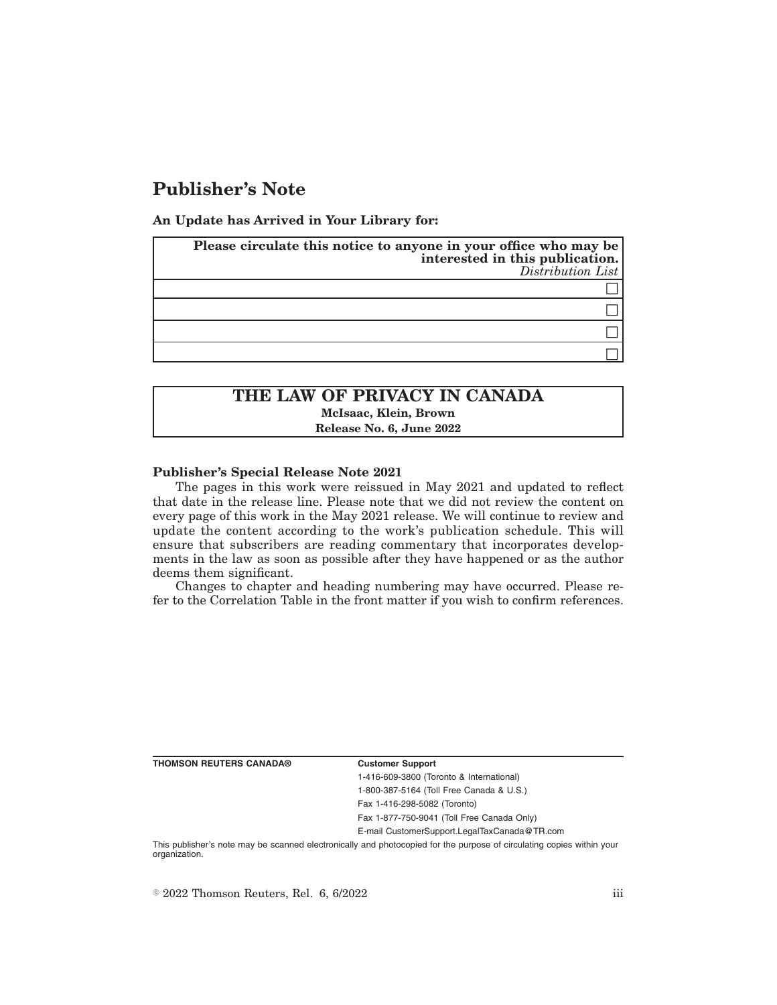## **Publisher's Note**

**An Update has Arrived in Your Library for:**

| Please circulate this notice to anyone in your office who may be<br>interested in this publication.<br>$Distriolution$ List |
|-----------------------------------------------------------------------------------------------------------------------------|
|                                                                                                                             |
|                                                                                                                             |
|                                                                                                                             |
|                                                                                                                             |

# **THE LAW OF PRIVACY IN CANADA McIsaac, Klein, Brown**

**Release No. 6, June 2022**

### **Publisher's Special Release Note 2021**

The pages in this work were reissued in May 2021 and updated to reflect that date in the release line. Please note that we did not review the content on every page of this work in the May 2021 release. We will continue to review and update the content according to the work's publication schedule. This will ensure that subscribers are reading commentary that incorporates developments in the law as soon as possible after they have happened or as the author deems them significant.

Changes to chapter and heading numbering may have occurred. Please refer to the Correlation Table in the front matter if you wish to confirm references.

**THOMSON REUTERS CANADA® Customer Support**

1-416-609-3800 (Toronto & International) 1-800-387-5164 (Toll Free Canada & U.S.)

Fax 1-416-298-5082 (Toronto)

Fax 1-877-750-9041 (Toll Free Canada Only)

E-mail CustomerSupport.LegalTaxCanada@TR.com

This publisher's note may be scanned electronically and photocopied for the purpose of circulating copies within your organization.

 $\degree$  2022 Thomson Reuters, Rel. 6, 6/2022 iii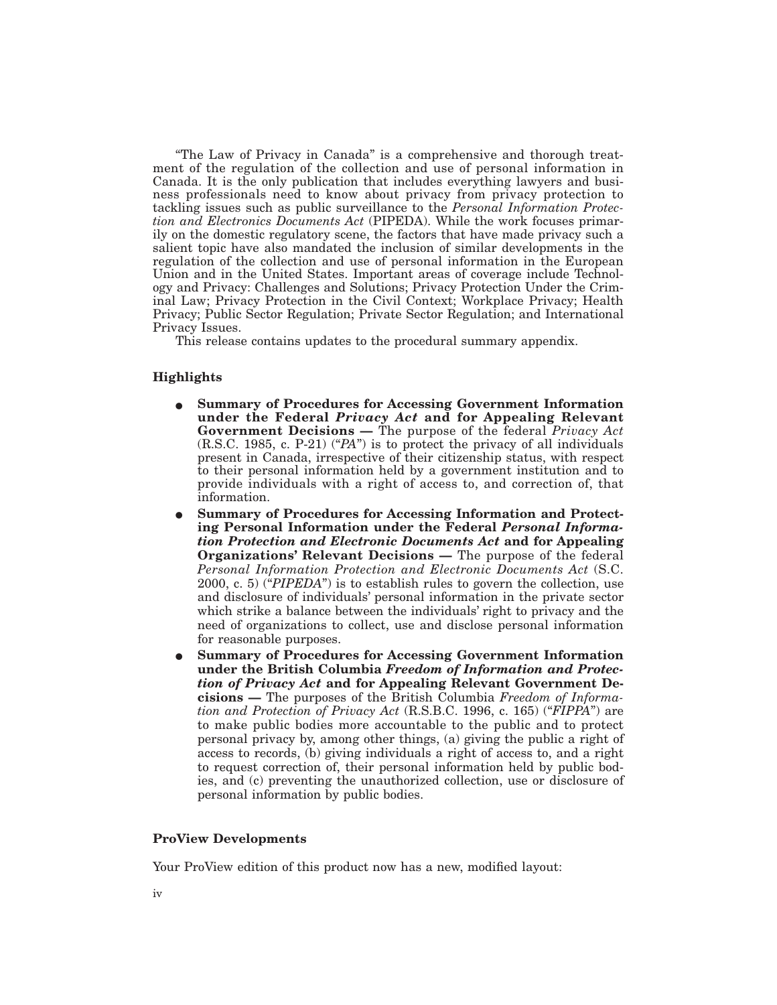"The Law of Privacy in Canada" is a comprehensive and thorough treatment of the regulation of the collection and use of personal information in Canada. It is the only publication that includes everything lawyers and business professionals need to know about privacy from privacy protection to tackling issues such as public surveillance to the *Personal Information Protection and Electronics Documents Act* (PIPEDA). While the work focuses primarily on the domestic regulatory scene, the factors that have made privacy such a salient topic have also mandated the inclusion of similar developments in the regulation of the collection and use of personal information in the European Union and in the United States. Important areas of coverage include Technology and Privacy: Challenges and Solutions; Privacy Protection Under the Criminal Law; Privacy Protection in the Civil Context; Workplace Privacy; Health Privacy; Public Sector Regulation; Private Sector Regulation; and International Privacy Issues.

This release contains updates to the procedural summary appendix.

### **Highlights**

- E **Summary of Procedures for Accessing Government Information under the Federal** *Privacy Act* **and for Appealing Relevant Government Decisions —** The purpose of the federal *Privacy Act* (R.S.C. 1985, c. P-21) ("*PA*") is to protect the privacy of all individuals present in Canada, irrespective of their citizenship status, with respect to their personal information held by a government institution and to provide individuals with a right of access to, and correction of, that information.
- **Summary of Procedures for Accessing Information and Protecting Personal Information under the Federal** *Personal Information Protection and Electronic Documents Act* **and for Appealing Organizations' Relevant Decisions —** The purpose of the federal *Personal Information Protection and Electronic Documents Act* (S.C. 2000, c. 5) ("*PIPEDA*") is to establish rules to govern the collection, use and disclosure of individuals' personal information in the private sector which strike a balance between the individuals' right to privacy and the need of organizations to collect, use and disclose personal information for reasonable purposes.
- E **Summary of Procedures for Accessing Government Information under the British Columbia** *Freedom of Information and Protection of Privacy Act* **and for Appealing Relevant Government Decisions —** The purposes of the British Columbia *Freedom of Information and Protection of Privacy Act* (R.S.B.C. 1996, c. 165) ("*FIPPA*") are to make public bodies more accountable to the public and to protect personal privacy by, among other things, (a) giving the public a right of access to records, (b) giving individuals a right of access to, and a right to request correction of, their personal information held by public bodies, and (c) preventing the unauthorized collection, use or disclosure of personal information by public bodies.

### **ProView Developments**

Your ProView edition of this product now has a new, modified layout: